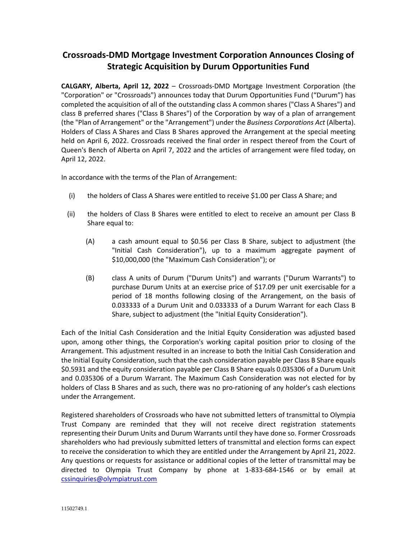## **Crossroads-DMD Mortgage Investment Corporation Announces Closing of Strategic Acquisition by Durum Opportunities Fund**

**CALGARY, Alberta, April 12, 2022** – Crossroads-DMD Mortgage Investment Corporation (the "Corporation" or "Crossroads") announces today that Durum Opportunities Fund ("Durum") has completed the acquisition of all of the outstanding class A common shares ("Class A Shares") and class B preferred shares ("Class B Shares") of the Corporation by way of a plan of arrangement (the "Plan of Arrangement" or the "Arrangement") under the *Business Corporations Act* (Alberta). Holders of Class A Shares and Class B Shares approved the Arrangement at the special meeting held on April 6, 2022. Crossroads received the final order in respect thereof from the Court of Queen's Bench of Alberta on April 7, 2022 and the articles of arrangement were filed today, on April 12, 2022.

In accordance with the terms of the Plan of Arrangement:

- (i) the holders of Class A Shares were entitled to receive \$1.00 per Class A Share; and
- (ii) the holders of Class B Shares were entitled to elect to receive an amount per Class B Share equal to:
	- (A) a cash amount equal to \$0.56 per Class B Share, subject to adjustment (the "Initial Cash Consideration"), up to a maximum aggregate payment of \$10,000,000 (the "Maximum Cash Consideration"); or
	- (B) class A units of Durum ("Durum Units") and warrants ("Durum Warrants") to purchase Durum Units at an exercise price of \$17.09 per unit exercisable for a period of 18 months following closing of the Arrangement, on the basis of 0.033333 of a Durum Unit and 0.033333 of a Durum Warrant for each Class B Share, subject to adjustment (the "Initial Equity Consideration").

Each of the Initial Cash Consideration and the Initial Equity Consideration was adjusted based upon, among other things, the Corporation's working capital position prior to closing of the Arrangement. This adjustment resulted in an increase to both the Initial Cash Consideration and the Initial Equity Consideration, such that the cash consideration payable per Class B Share equals \$0.5931 and the equity consideration payable per Class B Share equals 0.035306 of a Durum Unit and 0.035306 of a Durum Warrant. The Maximum Cash Consideration was not elected for by holders of Class B Shares and as such, there was no pro-rationing of any holder's cash elections under the Arrangement.

Registered shareholders of Crossroads who have not submitted letters of transmittal to Olympia Trust Company are reminded that they will not receive direct registration statements representing their Durum Units and Durum Warrants until they have done so. Former Crossroads shareholders who had previously submitted letters of transmittal and election forms can expect to receive the consideration to which they are entitled under the Arrangement by April 21, 2022. Any questions or requests for assistance or additional copies of the letter of transmittal may be directed to Olympia Trust Company by phone at 1-833-684-1546 or by email at [cssinquiries@olympiatrust.com](mailto:cssinquiries@olympiatrust.com)